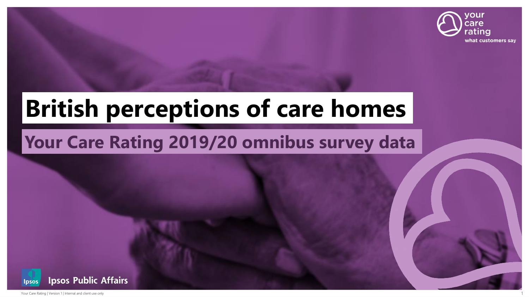

# **British perceptions of care homes**

### **Your Care Rating 2019/20 omnibus survey data**

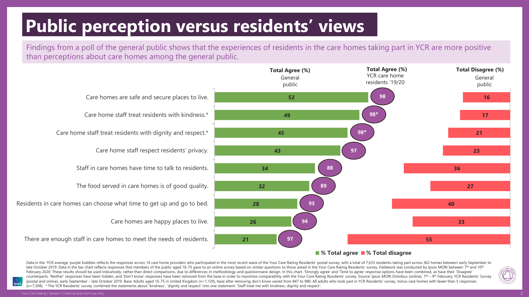# **Public perception versus residents' views**

Findings from a poll of the general public shows that the experiences of residents in the care homes taking part in YCR are more positive than perceptions about care homes among the general public.



#### **% Total agree % Total disagree**

Data in the 'YCR average' purple bubbles reflects the responses across 14 care home providers who participated in the most recent wave of the Your Care Rating Residents' postal survey, with a total of 7,633 residents takin late October 2019. Data in the bar chart reflects responses that members of the public aged 16-75 gave to an online survey based on similar questions to those asked in the Your Care Rating Residents' survey. Fieldwork was February 2020. These results should be used indicatively, rather than direct comparisons, due to differences in methodology and questionnaire design. In this chart, 'Strongly agree' and 'Tend to agree' response options hav counterparts. 'Neither' responses have been hidden, and 'Don't know' responses have been removed from the base in order to maximise comparability with the Your Care Rating Residents' survey. Source: Ipsos MORI Omnibus (onl (postal and online), early September - late October 2019. Base: Adults aged 16-75 in United Kingdom (n=1,129), base after removing don't know varied from 847 to 980; All adults who took part in YCR Residents' survey, minus (n=7,598). \* The YCR Residents' survey combined the statements about 'kindness', 'dignity and respect' into one statement: 'Staff treat me with kindness, dignity and respect'.

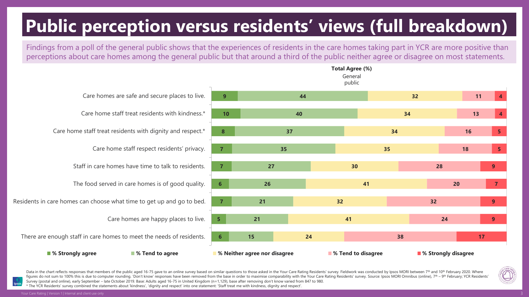# **Public perception versus residents' views (full breakdown)**

Findings from a poll of the general public shows that the experiences of residents in the care homes taking part in YCR are more positive than perceptions about care homes among the general public but that around a third of the public neither agree or disagree on most statements.

|                                                           |                                                                       |                              |    |    | General<br>public |                                               |    |    |    |                |
|-----------------------------------------------------------|-----------------------------------------------------------------------|------------------------------|----|----|-------------------|-----------------------------------------------|----|----|----|----------------|
| Care homes are safe and secure places to live.            |                                                                       | 9                            |    |    |                   | 32                                            |    | 11 |    |                |
|                                                           | Care home staff treat residents with kindness.*<br>10<br>40           |                              |    |    | 34                |                                               |    | 13 |    |                |
|                                                           | Care home staff treat residents with dignity and respect.*            |                              | 37 |    |                   | 34                                            |    |    | 16 | 5 <sub>1</sub> |
|                                                           | Care home staff respect residents' privacy.                           | $\overline{7}$               | 35 |    |                   | 35                                            |    |    | 18 |                |
|                                                           | Staff in care homes have time to talk to residents.<br>$\overline{7}$ |                              | 27 |    |                   | 30                                            |    | 28 |    | 9              |
|                                                           | The food served in care homes is of good quality.                     | 6                            | 26 |    |                   | 41                                            |    | 20 |    | $\mathbf{7}$   |
| ire homes can choose what time to get up and go to bed.   |                                                                       | $\overline{7}$               | 21 |    | 32                |                                               |    | 32 |    | $\overline{9}$ |
| Care homes are happy places to live.                      |                                                                       | 5.                           | 21 |    | 41                |                                               |    | 24 |    | 9 <sup>°</sup> |
| nough staff in care homes to meet the needs of residents. |                                                                       | $6^{\circ}$                  | 15 | 24 |                   |                                               | 38 |    | 17 |                |
| % Strongly agree                                          | ■ % Tend to agree                                                     | % Neither agree nor disagree |    |    |                   | ■ % Tend to disagree<br>■ % Strongly disagree |    |    |    |                |

**Total Agree (%)**

Residents in care homes can che

There are enough staff in car



Data in the chart reflects responses that members of the public aged 16-75 gave to an online survey based on similar questions to those asked in the Your Care Rating Residents' survey. Fieldwork was conducted by Ipsos MORI figures do not sum to 100% this is due to computer rounding. 'Don't know' responses have been removed from the base in order to maximise comparability with the Your Care Rating Residents' survey. Source: Ipsos MORI Omnibus Survey (postal and online), early September – late October 2019. Base: Adults aged 16-75 in United Kingdom (n=1,129), base after removing don't know varied from 847 to 980.

\* The YCR Residents' survey combined the statements about 'kindness', 'dignity and respect' into one statement: 'Staff treat me with kindness, dignity and respect'.